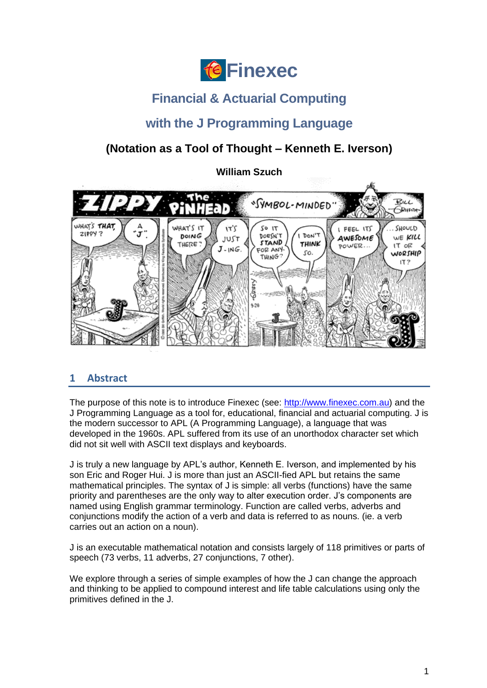

# **Financial & Actuarial Computing**

# **with the J Programming Language**

# **(Notation as a Tool of Thought – Kenneth E. Iverson)**

**William Szuch**



# <span id="page-0-0"></span>**1 Abstract**

The purpose of this note is to introduce Finexec (see: [http://www.finexec.com.au\)](http://www.finexec.com.au/) and the J Programming Language as a tool for, educational, financial and actuarial computing. J is the modern successor to APL (A Programming Language), a language that was developed in the 1960s. APL suffered from its use of an unorthodox character set which did not sit well with ASCII text displays and keyboards.

J is truly a new language by APL's author, Kenneth E. Iverson, and implemented by his son Eric and Roger Hui. J is more than just an ASCII-fied APL but retains the same mathematical principles. The syntax of J is simple: all verbs (functions) have the same priority and parentheses are the only way to alter execution order. J's components are named using English grammar terminology. Function are called verbs, adverbs and conjunctions modify the action of a verb and data is referred to as nouns. (ie. a verb carries out an action on a noun).

J is an executable mathematical notation and consists largely of 118 primitives or parts of speech (73 verbs, 11 adverbs, 27 conjunctions, 7 other).

We explore through a series of simple examples of how the J can change the approach and thinking to be applied to compound interest and life table calculations using only the primitives defined in the J.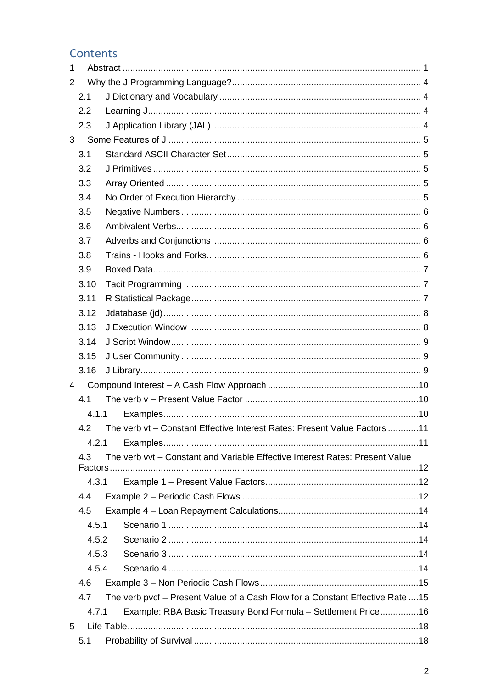# Contents

| 1     |       |  |                                                                                |  |  |  |
|-------|-------|--|--------------------------------------------------------------------------------|--|--|--|
| 2     |       |  |                                                                                |  |  |  |
| 2.1   |       |  |                                                                                |  |  |  |
|       | 2.2   |  |                                                                                |  |  |  |
|       | 2.3   |  |                                                                                |  |  |  |
| 3     |       |  |                                                                                |  |  |  |
|       | 3.1   |  |                                                                                |  |  |  |
| 3.2   |       |  |                                                                                |  |  |  |
| 3.3   |       |  |                                                                                |  |  |  |
| 3.4   |       |  |                                                                                |  |  |  |
|       | 3.5   |  |                                                                                |  |  |  |
|       | 3.6   |  |                                                                                |  |  |  |
|       | 3.7   |  |                                                                                |  |  |  |
|       | 3.8   |  |                                                                                |  |  |  |
|       | 3.9   |  |                                                                                |  |  |  |
|       | 3.10  |  |                                                                                |  |  |  |
|       | 3.11  |  |                                                                                |  |  |  |
|       | 3.12  |  |                                                                                |  |  |  |
|       | 3.13  |  |                                                                                |  |  |  |
|       | 3.14  |  |                                                                                |  |  |  |
|       | 3.15  |  |                                                                                |  |  |  |
|       | 3.16  |  |                                                                                |  |  |  |
| 4     |       |  |                                                                                |  |  |  |
|       | 4.1   |  |                                                                                |  |  |  |
|       | 4.1.1 |  |                                                                                |  |  |  |
|       |       |  | 4.2 The verb vt - Constant Effective Interest Rates: Present Value Factors 11  |  |  |  |
|       | 4.2.1 |  |                                                                                |  |  |  |
|       | 4.3   |  | The verb vvt - Constant and Variable Effective Interest Rates: Present Value   |  |  |  |
|       | 4.3.1 |  |                                                                                |  |  |  |
|       | 4.4   |  |                                                                                |  |  |  |
|       | 4.5   |  |                                                                                |  |  |  |
|       | 4.5.1 |  |                                                                                |  |  |  |
|       | 4.5.2 |  |                                                                                |  |  |  |
| 4.5.3 |       |  |                                                                                |  |  |  |
|       | 4.5.4 |  |                                                                                |  |  |  |
| 4.6   |       |  |                                                                                |  |  |  |
|       | 4.7   |  | The verb pvcf - Present Value of a Cash Flow for a Constant Effective Rate  15 |  |  |  |
|       | 4.7.1 |  | Example: RBA Basic Treasury Bond Formula - Settlement Price16                  |  |  |  |
| 5     |       |  |                                                                                |  |  |  |
|       | 5.1   |  |                                                                                |  |  |  |
|       |       |  |                                                                                |  |  |  |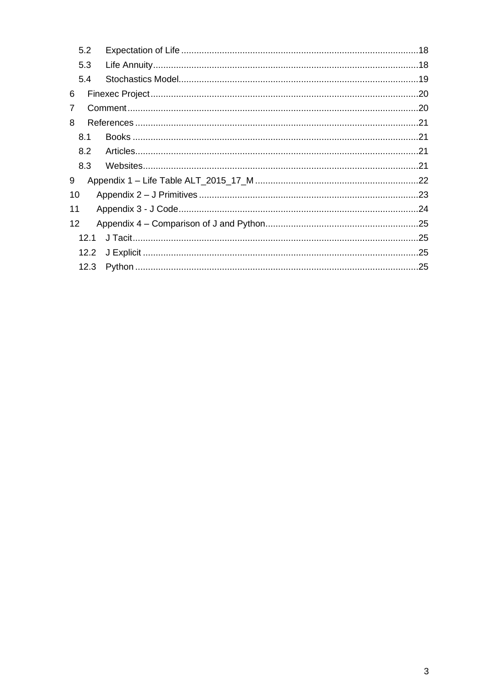|    | 5.2  |  |
|----|------|--|
|    | 5.3  |  |
|    | 5.4  |  |
| 6  |      |  |
| 7  |      |  |
| 8  |      |  |
|    | 8.1  |  |
|    | 8.2  |  |
|    | 8.3  |  |
| 9  |      |  |
| 10 |      |  |
| 11 |      |  |
| 12 |      |  |
|    | 12.1 |  |
|    | 12.2 |  |
|    | 12.3 |  |
|    |      |  |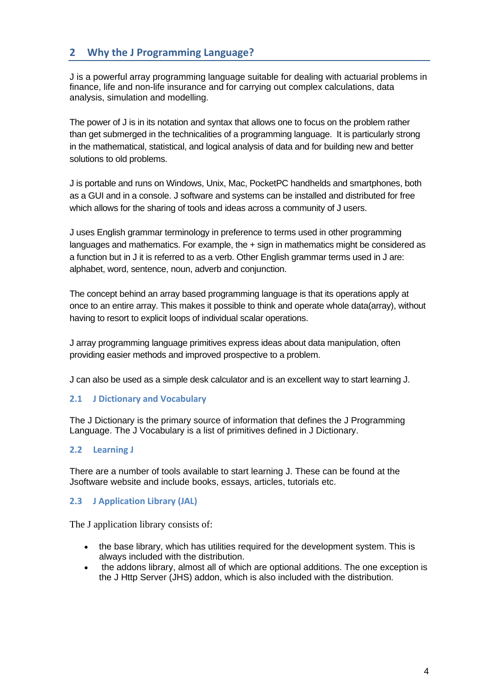# <span id="page-3-0"></span>**2 Why the J Programming Language?**

J is a powerful array programming language suitable for dealing with actuarial problems in finance, life and non-life insurance and for carrying out complex calculations, data analysis, simulation and modelling.

The power of J is in its notation and syntax that allows one to focus on the problem rather than get submerged in the technicalities of a programming language. It is particularly strong in the mathematical, statistical, and logical analysis of data and for building new and better solutions to old problems.

J is portable and runs on Windows, Unix, Mac, PocketPC handhelds and smartphones, both as a GUI and in a console. J software and systems can be installed and distributed for free which allows for the sharing of tools and ideas across a community of J users.

J uses English grammar terminology in preference to terms used in other programming languages and mathematics. For example, the  $+$  sign in mathematics might be considered as a function but in J it is referred to as a verb. Other English grammar terms used in J are: alphabet, word, sentence, noun, adverb and conjunction.

The concept behind an array based programming language is that its operations apply at once to an entire array. This makes it possible to think and operate whole data(array), without having to resort to explicit loops of individual scalar operations.

J array programming language primitives express ideas about data manipulation, often providing easier methods and improved prospective to a problem.

J can also be used as a simple desk calculator and is an excellent way to start learning J.

# <span id="page-3-1"></span>**2.1 J Dictionary and Vocabulary**

The J Dictionary is the primary source of information that defines the J Programming Language. The J Vocabulary is a list of primitives defined in J Dictionary.

# <span id="page-3-2"></span>**2.2 Learning J**

There are a number of tools available to start learning J. These can be found at the Jsoftware website and include books, essays, articles, tutorials etc.

# <span id="page-3-3"></span>**2.3 J Application Library (JAL)**

The J application library consists of:

- the base library, which has utilities required for the development system. This is always included with the distribution.
- the addons library, almost all of which are optional additions. The one exception is the J Http Server (JHS) addon, which is also included with the distribution.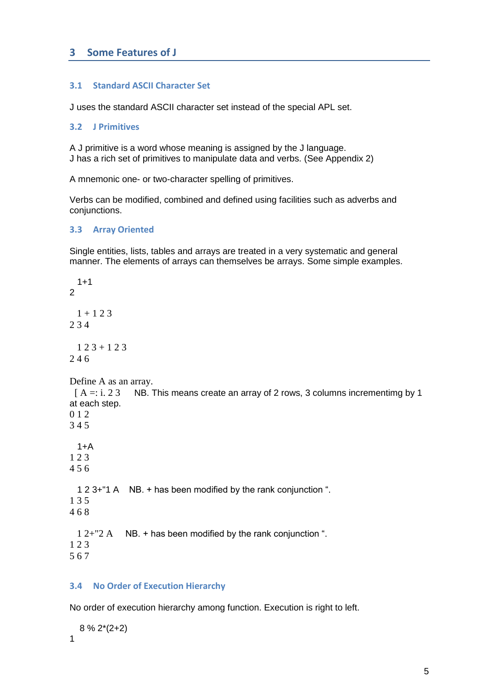# <span id="page-4-0"></span>**3 Some Features of J**

#### <span id="page-4-1"></span>**3.1 Standard ASCII Character Set**

<span id="page-4-2"></span>J uses the standard ASCII character set instead of the special APL set.

#### **3.2 J Primitives**

A J primitive is a word whose meaning is assigned by the J language. J has a rich set of primitives to manipulate data and verbs. (See Appendix 2)

A mnemonic one- or two-character spelling of primitives.

Verbs can be modified, combined and defined using facilities such as adverbs and conjunctions.

#### <span id="page-4-3"></span>**3.3 Array Oriented**

Single entities, lists, tables and arrays are treated in a very systematic and general manner. The elements of arrays can themselves be arrays. Some simple examples.

 $1+1$  $\overline{2}$  $1 + 123$ 2 3 4  $123 + 123$ 2 4 6 Define A as an array.  $[A =: i. 23$  NB. This means create an array of 2 rows, 3 columns incrementimg by 1 at each step. 0 1 2 3 4 5  $1+A$ 1 2 3 4 5 6 1 2 3+"1 A NB. + has been modified by the rank conjunction ". 1 3 5 4 6 8 1 2+"2 A NB. + has been modified by the rank conjunction ". 1 2 3 5 6 7

# <span id="page-4-4"></span>**3.4 No Order of Execution Hierarchy**

No order of execution hierarchy among function. Execution is right to left.

 8 % 2\*(2+2) 1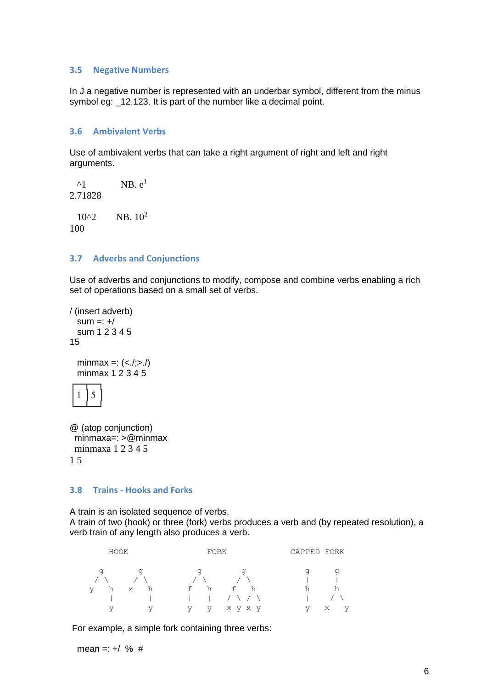#### <span id="page-5-0"></span>**3.5 Negative Numbers**

In J a negative number is represented with an underbar symbol, different from the minus symbol eg: \_12.123. It is part of the number like a decimal point.

#### <span id="page-5-1"></span>**3.6 Ambivalent Verbs**

Use of ambivalent verbs that can take a right argument of right and left and right arguments.

 $^{\wedge}1$  NB.  $e^1$ 2.71828  $10^{2}$  NB.  $10^{2}$ 100

# <span id="page-5-2"></span>**3.7 Adverbs and Conjunctions**

Use of adverbs and conjunctions to modify, compose and combine verbs enabling a rich set of operations based on a small set of verbs.

```
/ (insert adverb) 
  sum =: +/ sum 1 2 3 4 5
15
```
minmax =:  $()$ minmax  $1 \overline{2} \overline{3} \overline{4} \overline{5}$ 



```
@ (atop conjunction)
minmaxa=: >@minmax
minmaxa 1 2 3 4 5
1 5
```
## <span id="page-5-3"></span>**3.8 Trains - Hooks and Forks**

A train is an isolated sequence of verbs. A train of two (hook) or three (fork) verbs produces a verb and (by repeated resolution), a verb train of any length also produces a verb.

| HOOK                        | FORK              | CAPPED FORK |  |  |
|-----------------------------|-------------------|-------------|--|--|
| q<br>a                      | a                 | q<br>a      |  |  |
| h<br>h<br>$\mathbf{V}$<br>X | f h<br>f<br>h     | h<br>h      |  |  |
|                             | $1 / \sqrt{1}$    |             |  |  |
| V<br>V                      | V<br>V<br>x y x y | V<br>X<br>V |  |  |

For example, a simple fork containing three verbs:

mean =:  $+/-\%$ #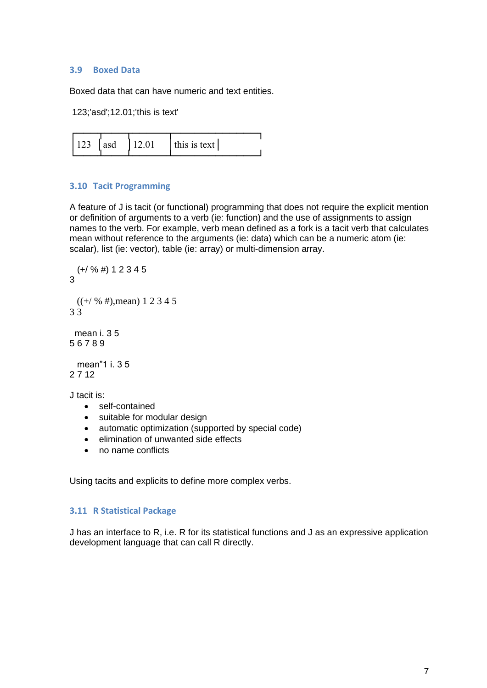#### <span id="page-6-0"></span>**3.9 Boxed Data**

Boxed data that can have numeric and text entities.

```
123;'asd';12.01;'this is text'
```

| this is text<br>12.01<br>123<br>asd |  |
|-------------------------------------|--|
|-------------------------------------|--|

# <span id="page-6-1"></span>**3.10 Tacit Programming**

A feature of J is tacit (or functional) programming that does not require the explicit mention or definition of arguments to a verb (ie: function) and the use of assignments to assign names to the verb. For example, verb mean defined as a fork is a tacit verb that calculates mean without reference to the arguments (ie: data) which can be a numeric atom (ie: scalar), list (ie: vector), table (ie: array) or multi-dimension array.

```
 (+/ % #) 1 2 3 4 5
3
 ((+/ % #), mean) 1 2 3 4 53 3
  mean i. 3 5
5 6 7 8 9
  mean"1 i. 3 5
2 7 12
J tacit is:
```
- self-contained
- suitable for modular design
- automatic optimization (supported by special code)
- elimination of unwanted side effects
- no name conflicts

Using tacits and explicits to define more complex verbs.

# <span id="page-6-2"></span>**3.11 R Statistical Package**

J has an interface to R, i.e. R for its statistical functions and J as an expressive application development language that can call R directly.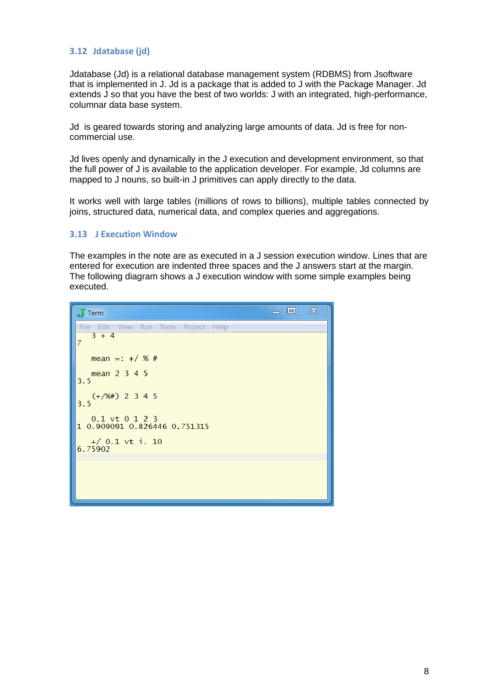# <span id="page-7-0"></span>**3.12 Jdatabase (jd)**

Jdatabase (Jd) is a relational database management system (RDBMS) from Jsoftware that is implemented in J. Jd is a package that is added to J with the Package Manager. Jd extends J so that you have the best of two worlds: J with an integrated, high-performance, columnar data base system.

Jd is geared towards storing and analyzing large amounts of data. Jd is free for noncommercial use.

Jd lives openly and dynamically in the J execution and development environment, so that the full power of J is available to the application developer. For example, Jd columns are mapped to J nouns, so built-in J primitives can apply directly to the data.

It works well with large tables (millions of rows to billions), multiple tables connected by joins, structured data, numerical data, and complex queries and aggregations.

#### <span id="page-7-1"></span>**3.13 J Execution Window**

The examples in the note are as executed in a J session execution window. Lines that are entered for execution are indented three spaces and the J answers start at the margin. The following diagram shows a J execution window with some simple examples being executed.

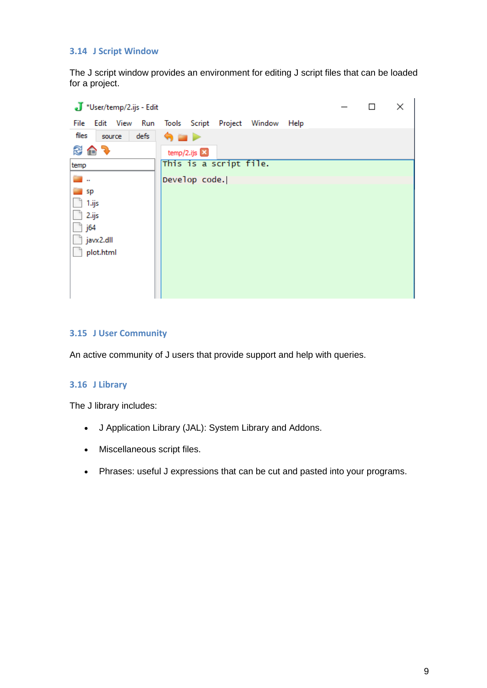# <span id="page-8-0"></span>**3.14 J Script Window**

The J script window provides an environment for editing J script files that can be loaded for a project.

| J *User/temp/2.ijs - Edit |                                     |  |  |  |  |  |
|---------------------------|-------------------------------------|--|--|--|--|--|
| Run<br>File<br>Edit View  | Tools Script Project Window<br>Help |  |  |  |  |  |
| files<br>defs<br>source   | 9 E P                               |  |  |  |  |  |
| 多色す                       | temp/2.ijs $\Box$                   |  |  |  |  |  |
| temp                      | This is a script file.              |  |  |  |  |  |
| <b>College</b>            | Develop code.                       |  |  |  |  |  |
| sp                        |                                     |  |  |  |  |  |
| 1.ijs                     |                                     |  |  |  |  |  |
| 2.ijs                     |                                     |  |  |  |  |  |
| j64                       |                                     |  |  |  |  |  |
| javx2.dll                 |                                     |  |  |  |  |  |
| plot.html                 |                                     |  |  |  |  |  |
|                           |                                     |  |  |  |  |  |
|                           |                                     |  |  |  |  |  |
|                           |                                     |  |  |  |  |  |

# <span id="page-8-1"></span>**3.15 J User Community**

An active community of J users that provide support and help with queries.

#### <span id="page-8-2"></span>**3.16 J Library**

The J library includes:

- J Application Library (JAL): System Library and Addons.
- Miscellaneous script files.
- Phrases: useful J expressions that can be cut and pasted into your programs.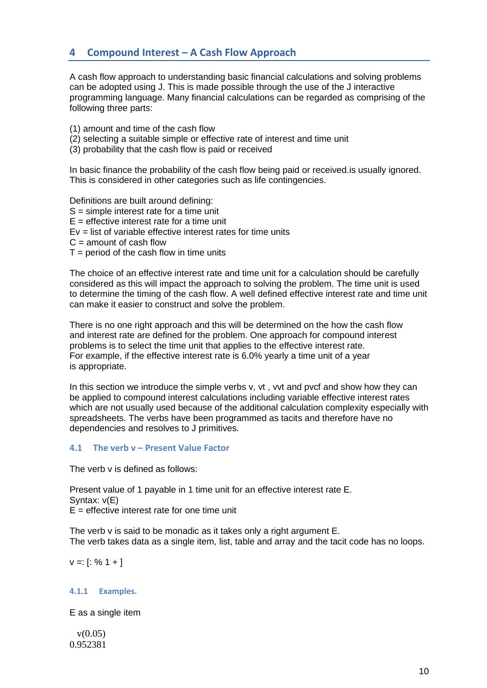# <span id="page-9-0"></span>**4 Compound Interest – A Cash Flow Approach**

A cash flow approach to understanding basic financial calculations and solving problems can be adopted using J. This is made possible through the use of the J interactive programming language. Many financial calculations can be regarded as comprising of the following three parts:

(1) amount and time of the cash flow

(2) selecting a suitable simple or effective rate of interest and time unit

(3) probability that the cash flow is paid or received

In basic finance the probability of the cash flow being paid or received.is usually ignored. This is considered in other categories such as life contingencies.

Definitions are built around defining: S = simple interest rate for a time unit  $E =$  effective interest rate for a time unit Ev = list of variable effective interest rates for time units  $C =$  amount of cash flow  $T =$  period of the cash flow in time units

The choice of an effective interest rate and time unit for a calculation should be carefully considered as this will impact the approach to solving the problem. The time unit is used to determine the timing of the cash flow. A well defined effective interest rate and time unit can make it easier to construct and solve the problem.

There is no one right approach and this will be determined on the how the cash flow and interest rate are defined for the problem. One approach for compound interest problems is to select the time unit that applies to the effective interest rate. For example, if the effective interest rate is 6.0% yearly a time unit of a year is appropriate.

In this section we introduce the simple verbs v, vt , vvt and pvcf and show how they can be applied to compound interest calculations including variable effective interest rates which are not usually used because of the additional calculation complexity especially with spreadsheets. The verbs have been programmed as tacits and therefore have no dependencies and resolves to J primitives.

# <span id="page-9-1"></span>**4.1 The verb v – Present Value Factor**

The verb v is defined as follows:

Present value of 1 payable in 1 time unit for an effective interest rate E. Syntax: v(E)  $F =$  effective interest rate for one time unit

The verb v is said to be monadic as it takes only a right argument E. The verb takes data as a single item, list, table and array and the tacit code has no loops.

 $v =: [$ : % 1 + ]

# <span id="page-9-2"></span>**4.1.1 Examples.**

E as a single item

 $v(0.05)$ 0.952381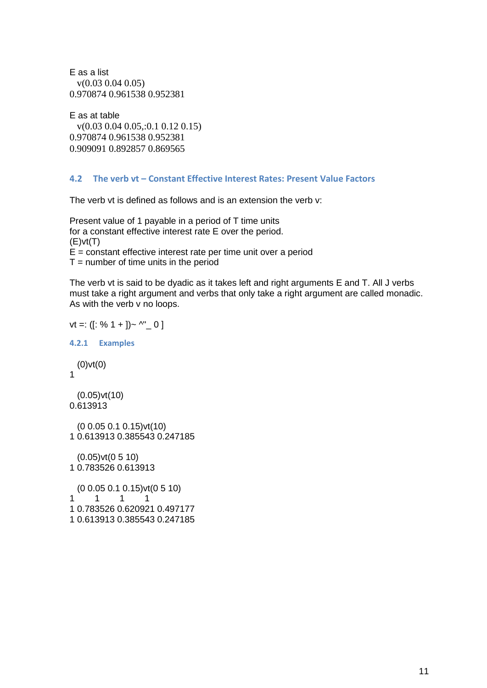```
E as a list
  v(0.03 0.04 0.05)
0.970874 0.961538 0.952381
```

```
E as at table
  v(0.03 0.04 0.05,:0.1 0.12 0.15)
0.970874 0.961538 0.952381
0.909091 0.892857 0.869565
```
#### <span id="page-10-0"></span>**4.2 The verb vt – Constant Effective Interest Rates: Present Value Factors**

The verb vt is defined as follows and is an extension the verb v:

Present value of 1 payable in a period of T time units for a constant effective interest rate E over the period.  $(E)v(t)$  $E =$  constant effective interest rate per time unit over a period  $T =$  number of time units in the period

The verb vt is said to be dyadic as it takes left and right arguments E and T. All J verbs must take a right argument and verbs that only take a right argument are called monadic. As with the verb v no loops.

```
vt =: ([: % 1 + ])_ \sim \wedge" _0 ]4.2.1 Examples
  (0)vt(0)
1
  (0.05)vt(10)
0.613913
  (0 0.05 0.1 0.15)vt(10)
1 0.613913 0.385543 0.247185
  (0.05)vt(0 5 10)
1 0.783526 0.613913
  (0 0.05 0.1 0.15)vt(0 5 10)
1 1 1 1
1 0.783526 0.620921 0.497177
1 0.613913 0.385543 0.247185
```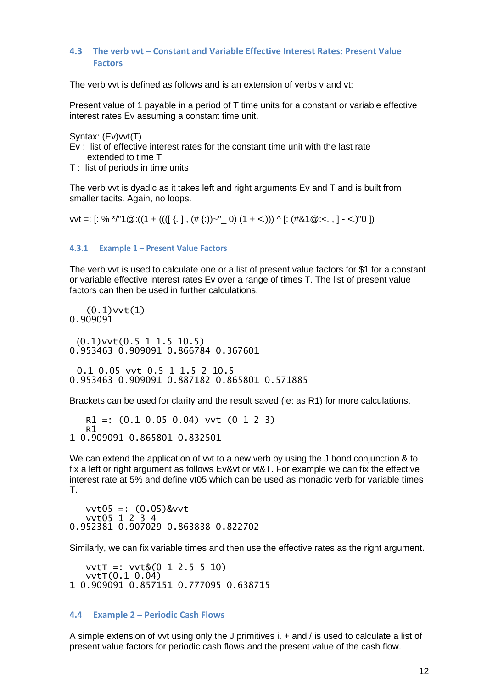# <span id="page-11-0"></span>**4.3 The verb vvt – Constant and Variable Effective Interest Rates: Present Value Factors**

The verb vvt is defined as follows and is an extension of verbs v and vt:

Present value of 1 payable in a period of T time units for a constant or variable effective interest rates Ev assuming a constant time unit.

Syntax: (Ev)vvt(T)

- Ev : list of effective interest rates for the constant time unit with the last rate extended to time T
- T : list of periods in time units

The verb vvt is dyadic as it takes left and right arguments Ev and T and is built from smaller tacits. Again, no loops.

vvt =:  $[: % ^{*}/ "1@: ((1 + ((( [ {.} ], ( # {:} ))~" 0) (1 + < .))) \wedge [:(# &1@: < . , ] - < .) "0 ])$ 

#### <span id="page-11-1"></span>**4.3.1 Example 1 – Present Value Factors**

The verb vvt is used to calculate one or a list of present value factors for \$1 for a constant or variable effective interest rates Ev over a range of times T. The list of present value factors can then be used in further calculations.

 $(0.1)$ vvt $(1)$ 0.909091

 (0.1)vvt(0.5 1 1.5 10.5) 0.953463 0.909091 0.866784 0.367601

 0.1 0.05 vvt 0.5 1 1.5 2 10.5 0.953463 0.909091 0.887182 0.865801 0.571885

Brackets can be used for clarity and the result saved (ie: as R1) for more calculations.

```
 R1 =: (0.1 0.05 0.04) vvt (0 1 2 3)
   R1
1 0.909091 0.865801 0.832501
```
We can extend the application of vvt to a new verb by using the J bond conjunction & to fix a left or right argument as follows Ev&vt or vt&T. For example we can fix the effective interest rate at 5% and define vt05 which can be used as monadic verb for variable times T.

 vvt05 =: (0.05)&vvt vvt05 1 2 3 4 0.952381 0.907029 0.863838 0.822702

Similarly, we can fix variable times and then use the effective rates as the right argument.

 vvtT =: vvt&(0 1 2.5 5 10) vvtT(0.1 0.04) 1 0.909091 0.857151 0.777095 0.638715

#### <span id="page-11-2"></span>**4.4 Example 2 – Periodic Cash Flows**

A simple extension of vvt using only the J primitives i. + and / is used to calculate a list of present value factors for periodic cash flows and the present value of the cash flow.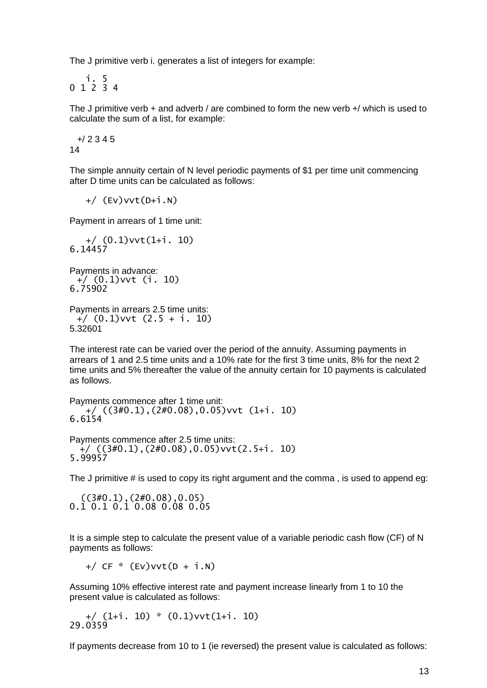The J primitive verb i. generates a list of integers for example:

 i. 5 0 1 2 3 4

The J primitive verb  $+$  and adverb / are combined to form the new verb  $+$ / which is used to calculate the sum of a list, for example:

 +/ 2 3 4 5 14

The simple annuity certain of N level periodic payments of \$1 per time unit commencing after D time units can be calculated as follows:

+/ (Ev)vvt(D+i.N)

Payment in arrears of 1 time unit:

```
 +/ (0.1)vvt(1+i. 10)
6.14457
```
Payments in advance: +/ (0.1)vvt (i. 10) 6.75902

Payments in arrears 2.5 time units: +/ (0.1)vvt (2.5 + i. 10) 5.32601

The interest rate can be varied over the period of the annuity. Assuming payments in arrears of 1 and 2.5 time units and a 10% rate for the first 3 time units, 8% for the next 2 time units and 5% thereafter the value of the annuity certain for 10 payments is calculated as follows.

Payments commence after 1 time unit:  $^{+}/$  ((3#0.1),(2#0.08),0.05)vvt (1+i. 10) 6.6154

Payments commence after 2.5 time units: +/ ((3#0.1),(2#0.08),0.05)vvt(2.5+i. 10) 5.99957

The J primitive # is used to copy its right argument and the comma , is used to append eg:

 $((3#0.1), (2#0.08), 0.05)$ 0.1 0.1 0.1 0.08 0.08 0.05

It is a simple step to calculate the present value of a variable periodic cash flow (CF) of N payments as follows:

 $+/ CF * (Ev) vvt(D + i.N)$ 

Assuming 10% effective interest rate and payment increase linearly from 1 to 10 the present value is calculated as follows:

 +/ (1+i. 10) \* (0.1)vvt(1+i. 10) 29.0359

If payments decrease from 10 to 1 (ie reversed) the present value is calculated as follows: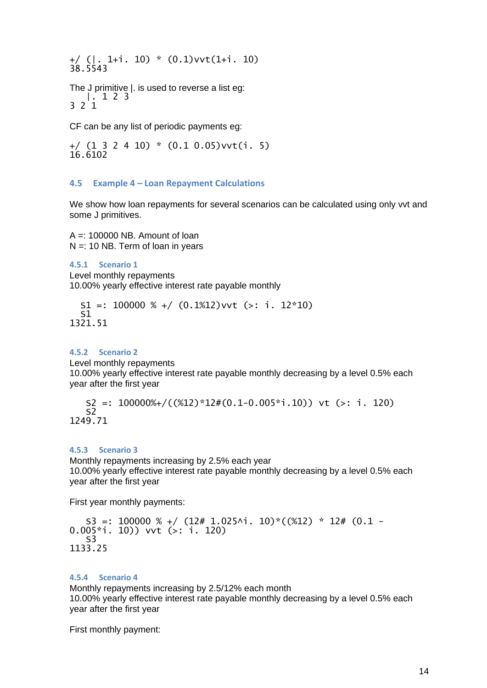+/ (|. 1+i. 10) \* (0.1)vvt(1+i. 10) 38.5543

The J primitive |. is used to reverse a list eg: |. 1 2 3 3 2 1

CF can be any list of periodic payments eg:

+/ (1 3 2 4 10) \* (0.1 0.05)vvt(i. 5) 16.6102

#### <span id="page-13-0"></span>**4.5 Example 4 – Loan Repayment Calculations**

We show how loan repayments for several scenarios can be calculated using only vvt and some J primitives.

 $A =: 100000$  NB. Amount of loan  $N =: 10 NB$ . Term of loan in years

<span id="page-13-1"></span>**4.5.1 Scenario 1** Level monthly repayments 10.00% yearly effective interest rate payable monthly

 $S1 =: 100000 % + / (0.1%12)$  vvt (>: i. 12\*10) S1 1321.51

#### <span id="page-13-2"></span>**4.5.2 Scenario 2**

Level monthly repayments

10.00% yearly effective interest rate payable monthly decreasing by a level 0.5% each year after the first year

 S2 =: 100000%+/((%12)\*12#(0.1-0.005\*i.10)) vt (>: i. 120)  $\overline{52}$ 1249.71

#### <span id="page-13-3"></span>**4.5.3 Scenario 3**

Monthly repayments increasing by 2.5% each year 10.00% yearly effective interest rate payable monthly decreasing by a level 0.5% each year after the first year

First year monthly payments:

 $S3 =: 100000 % + / (12# 1.025$ ^i. 10)\*((%12) \* 12# (0.1 -0.005\*i. 10)) vvt (>: i. 120) S3 1133.25

## <span id="page-13-4"></span>**4.5.4 Scenario 4**

Monthly repayments increasing by 2.5/12% each month 10.00% yearly effective interest rate payable monthly decreasing by a level 0.5% each year after the first year

First monthly payment: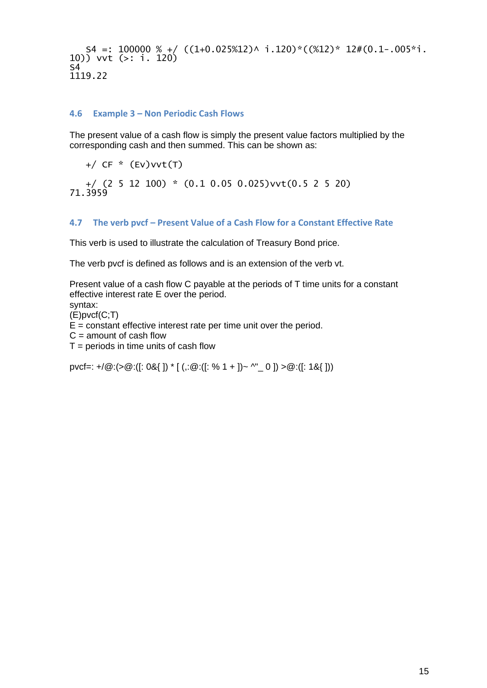```
S4 =: 100000 % + / ((1+0.025%12)^* i.120) * ((%12)* 12#(0.1-.005* i.120))10)) vvt (>: i. 120)
S41119.22
```
## <span id="page-14-0"></span>**4.6 Example 3 – Non Periodic Cash Flows**

The present value of a cash flow is simply the present value factors multiplied by the corresponding cash and then summed. This can be shown as:

+/ CF \* (Ev)vvt(T)

 +/ (2 5 12 100) \* (0.1 0.05 0.025)vvt(0.5 2 5 20) 71.3959

#### <span id="page-14-1"></span>**4.7 The verb pvcf – Present Value of a Cash Flow for a Constant Effective Rate**

This verb is used to illustrate the calculation of Treasury Bond price.

The verb pvcf is defined as follows and is an extension of the verb vt.

Present value of a cash flow C payable at the periods of T time units for a constant effective interest rate E over the period.

syntax:

(E)pvcf(C;T)

 $E =$  constant effective interest rate per time unit over the period.

 $C =$  amount of cash flow

 $T =$  periods in time units of cash flow

pvcf=: +/ $\circledR$ :(> $\circledR$ :([: 0&{ ]) \* [(,: $\circledR$ :([: % 1 + ])~ ^"\_ 0 ]) > $\circledR$ :([: 1&{ ]))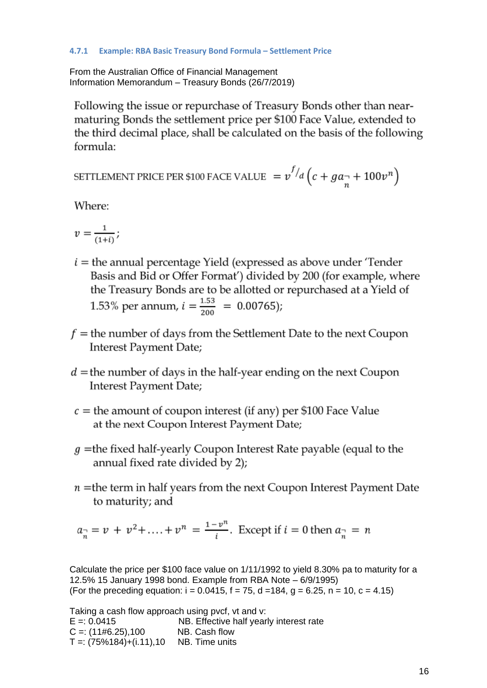## <span id="page-15-0"></span>**4.7.1 Example: RBA Basic Treasury Bond Formula – Settlement Price**

From the Australian Office of Financial Management Information Memorandum – Treasury Bonds (26/7/2019)

Following the issue or repurchase of Treasury Bonds other than nearmaturing Bonds the settlement price per \$100 Face Value, extended to the third decimal place, shall be calculated on the basis of the following formula:

SETTLEMENT PRICE PER \$100 FACE VALUE  $= v^{f/d} \left( c + g a_{\frac{\alpha}{n}} + 100 v^n \right)$ 

Where:

$$
v=\frac{1}{(1+i)};
$$

- $i =$  the annual percentage Yield (expressed as above under 'Tender Basis and Bid or Offer Format') divided by 200 (for example, where the Treasury Bonds are to be allotted or repurchased at a Yield of 1.53% per annum,  $i = \frac{1.53}{200} = 0.00765$ ;
- $f =$  the number of days from the Settlement Date to the next Coupon Interest Payment Date;
- $d =$  the number of days in the half-year ending on the next Coupon Interest Payment Date;
- $c =$  the amount of coupon interest (if any) per \$100 Face Value at the next Coupon Interest Payment Date;
- $g$  =the fixed half-yearly Coupon Interest Rate payable (equal to the annual fixed rate divided by 2);
- $n =$ the term in half years from the next Coupon Interest Payment Date to maturity; and

 $a_{\overline{n}} = v + v^2 + \dots + v^n = \frac{1 - v^n}{i}$ . Except if  $i = 0$  then  $a_{\overline{n}} = n$ 

Calculate the price per \$100 face value on 1/11/1992 to yield 8.30% pa to maturity for a 12.5% 15 January 1998 bond. Example from RBA Note – 6/9/1995) (For the preceding equation:  $i = 0.0415$ ,  $f = 75$ ,  $d = 184$ ,  $g = 6.25$ ,  $n = 10$ ,  $c = 4.15$ )

Taking a cash flow approach using pvcf, vt and v: E =: 0.0415 NB. Effective half yearly interest rate  $C =: (11#6.25),100$  NB. Cash flow  $T =: (75\%184) + (i.11), 10$  NB. Time units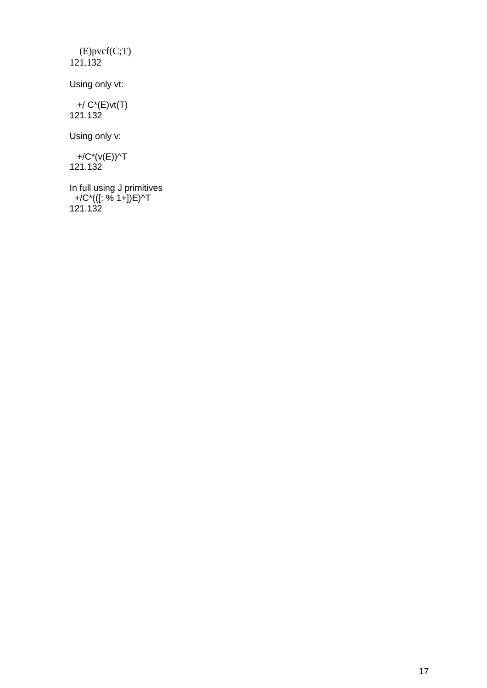(E)pvcf(C;T) 121.132

Using only vt:

 +/ C\*(E)vt(T) 121.132

Using only v:

 +/C\*(v(E))^T 121.132

In full using J primitives +/C\*(([: % 1+])E)^T 121.132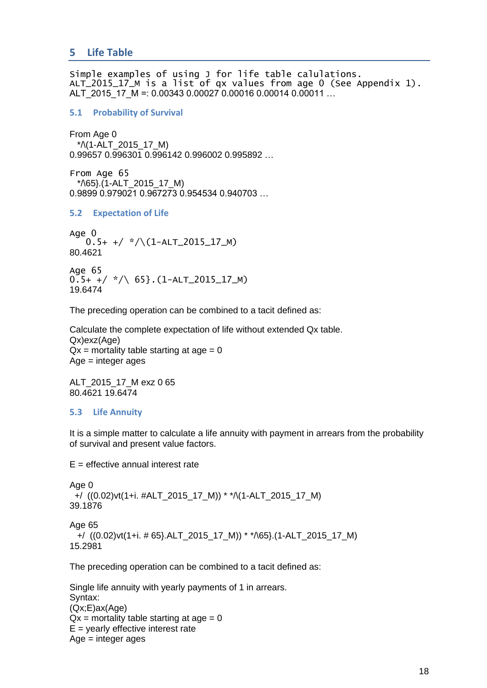<span id="page-17-0"></span>Simple examples of using J for life table calulations. ALT\_2015\_17\_M is a list of qx values from age 0 (See Appendix 1). ALT\_2015\_17\_M =: 0.00343 0.00027 0.00016 0.00014 0.00011 …

#### <span id="page-17-1"></span>**5.1 Probability of Survival**

From Age 0 \*/\(1-ALT\_2015\_17\_M) 0.99657 0.996301 0.996142 0.996002 0.995892 …

From Age 65 \*/\65}.(1-ALT\_2015\_17\_M) 0.9899 0.979021 0.967273 0.954534 0.940703 …

#### <span id="page-17-2"></span>**5.2 Expectation of Life**

Age 0  $0.5+$  +/ \*/\(1-ALT\_2015\_17\_M) 80.4621

Age 65  $0.5+$  +/ \*/\ 65}. (1-ALT\_2015\_17\_M) 19.6474

The preceding operation can be combined to a tacit defined as:

Calculate the complete expectation of life without extended Qx table. Qx)exz(Age)  $Qx$  = mortality table starting at age = 0 Age = integer ages

ALT\_2015\_17\_M exz 0 65 80.4621 19.6474

# <span id="page-17-3"></span>**5.3 Life Annuity**

It is a simple matter to calculate a life annuity with payment in arrears from the probability of survival and present value factors.

 $E =$  effective annual interest rate

Age 0 +/ ((0.02)vt(1+i. #ALT\_2015\_17\_M)) \* \*/\(1-ALT\_2015\_17\_M) 39.1876 Age 65  $+$ / ((0.02)vt(1+i. # 65}.ALT\_2015\_17\_M)) \* \* $\sqrt{65}$ .(1-ALT\_2015\_17\_M) 15.2981

The preceding operation can be combined to a tacit defined as:

```
Single life annuity with yearly payments of 1 in arrears.
Syntax:
(Qx;E)ax(Age)
Qx = mortality table starting at age = 0
E = yearly effective interest rate
Age = integer ages
```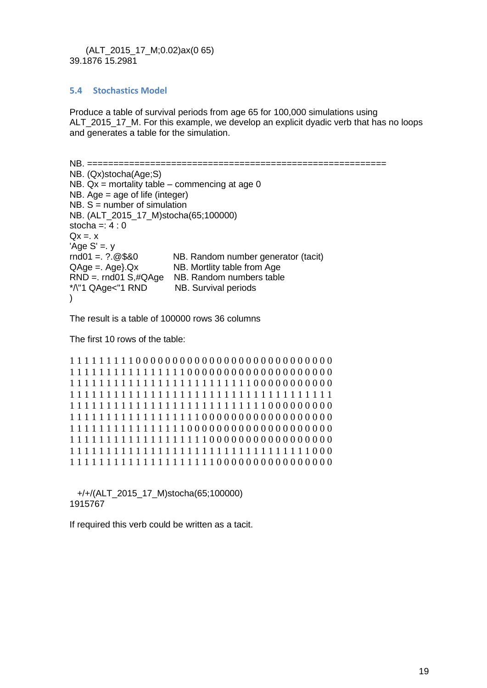#### (ALT\_2015\_17\_M;0.02)ax(0 65) 39.1876 15.2981

## <span id="page-18-0"></span>**5.4 Stochastics Model**

Produce a table of survival periods from age 65 for 100,000 simulations using ALT 2015 17 M. For this example, we develop an explicit dyadic verb that has no loops and generates a table for the simulation.

```
NB. =========================================================
NB. (Qx)stocha(Age;S)
NB. Qx = mortality table – commencing at age 0
NB. Age = age of life (integer)
NB. S = number of simulationNB. (ALT_2015_17_M)stocha(65;100000)
stocha =: 4:0Qx = x'Age S' =. y<br>rnd01 =. ?.@$&0
                       NB. Random number generator (tacit)
QAqe =. Age. Qx NB. Mortlity table from Age
RND =. rnd01 S,#QAge NB. Random numbers table
*/\"1 QAge<"1 RND NB. Survival periods
)
```
The result is a table of 100000 rows 36 columns

The first 10 rows of the table:

```
1 1 1 1 1 1 1 1 1 0 0 0 0 0 0 0 0 0 0 0 0 0 0 0 0 0 0 0 0 0 0 0 0 0 0 0
1 1 1 1 1 1 1 1 1 1 1 1 1 1 1 1 0 0 0 0 0 0 0 0 0 0 0 0 0 0 0 0 0 0 0 0
1 1 1 1 1 1 1 1 1 1 1 1 1 1 1 1 1 1 1 1 1 1 1 1 1 0 0 0 0 0 0 0 0 0 0 0
1 1 1 1 1 1 1 1 1 1 1 1 1 1 1 1 1 1 1 1 1 1 1 1 1 1 1 1 1 1 1 1 1 1 1 1
1 1 1 1 1 1 1 1 1 1 1 1 1 1 1 1 1 1 1 1 1 1 1 1 1 1 1 0 0 0 0 0 0 0 0 0
1 1 1 1 1 1 1 1 1 1 1 1 1 1 1 1 1 1 0 0 0 0 0 0 0 0 0 0 0 0 0 0 0 0 0 0
1 1 1 1 1 1 1 1 1 1 1 1 1 1 1 1 0 0 0 0 0 0 0 0 0 0 0 0 0 0 0 0 0 0 0 0
1 1 1 1 1 1 1 1 1 1 1 1 1 1 1 1 1 1 1 0 0 0 0 0 0 0 0 0 0 0 0 0 0 0 0 0
1 1 1 1 1 1 1 1 1 1 1 1 1 1 1 1 1 1 1 1 1 1 1 1 1 1 1 1 1 1 1 1 1 0 0 0
1 1 1 1 1 1 1 1 1 1 1 1 1 1 1 1 1 1 1 1 0 0 0 0 0 0 0 0 0 0 0 0 0 0 0 0
```
 +/+/(ALT\_2015\_17\_M)stocha(65;100000) 1915767

If required this verb could be written as a tacit.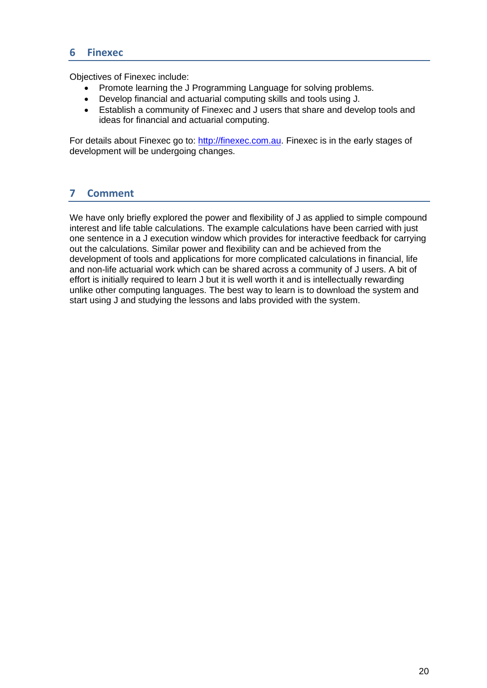# <span id="page-19-0"></span>**6 Finexec**

Objectives of Finexec include:

- Promote learning the J Programming Language for solving problems.
- Develop financial and actuarial computing skills and tools using J.
- Establish a community of Finexec and J users that share and develop tools and ideas for financial and actuarial computing.

For details about Finexec go to: [http://finexec.com.au.](http://finexec.com.au/) Finexec is in the early stages of development will be undergoing changes.

# <span id="page-19-1"></span>**7 Comment**

We have only briefly explored the power and flexibility of J as applied to simple compound interest and life table calculations. The example calculations have been carried with just one sentence in a J execution window which provides for interactive feedback for carrying out the calculations. Similar power and flexibility can and be achieved from the development of tools and applications for more complicated calculations in financial, life and non-life actuarial work which can be shared across a community of J users. A bit of effort is initially required to learn J but it is well worth it and is intellectually rewarding unlike other computing languages. The best way to learn is to download the system and start using J and studying the lessons and labs provided with the system.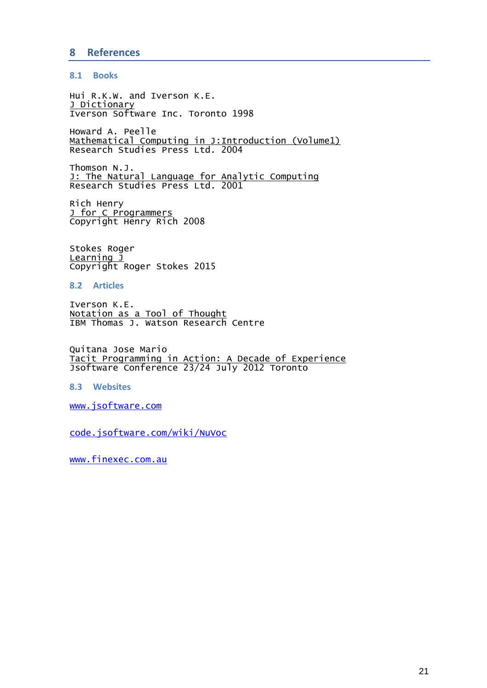# <span id="page-20-0"></span>**8 References**

#### <span id="page-20-1"></span>**8.1 Books**

Hui R.K.W. and Iverson K.E. J Dictionary Iverson Software Inc. Toronto 1998

Howard A. Peelle Mathematical Computing in J:Introduction (Volume1) Research Studies Press Ltd. 2004

Thomson N.J. J: The Natural Language for Analytic Computing Research Studies Press Ltd. 2001

Rich Henry J for C Programmers Copyright Henry Rich 2008

Stokes Roger Learning J Copyright Roger Stokes 2015

<span id="page-20-2"></span>**8.2 Articles**

Iverson K.E. Notation as a Tool of Thought IBM Thomas J. Watson Research Centre

Quitana Jose Mario Tacit Programming in Action: A Decade of Experience Jsoftware Conference 23/24 July 2012 Toronto

<span id="page-20-3"></span>**8.3 Websites**

[www.jsoftware.com](http://www.jsoftware.com/)

code.jsoftware.com/wiki/NuVoc

[www.finexec.com.au](http://www.finexec.com.au/)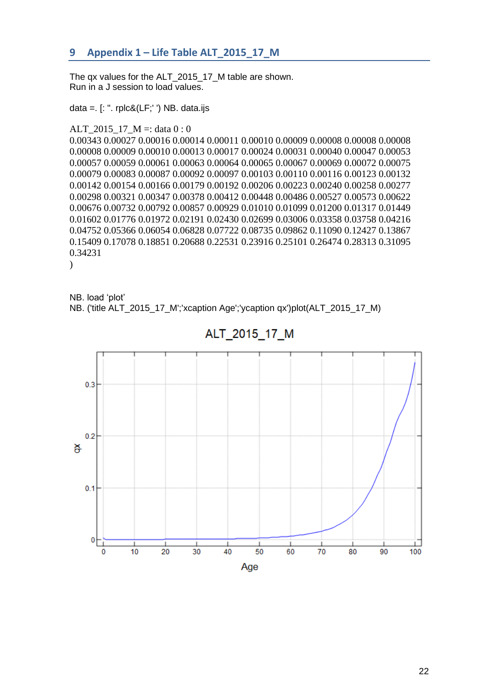# <span id="page-21-0"></span>**9 Appendix 1 – Life Table ALT\_2015\_17\_M**

The qx values for the ALT 2015 17 M table are shown. Run in a J session to load values.

data =.  $[$ : ". rplc&(LF;' ') NB. data.ijs

## ALT\_2015\_17\_M =: data 0 : 0

0.00343 0.00027 0.00016 0.00014 0.00011 0.00010 0.00009 0.00008 0.00008 0.00008 0.00008 0.00009 0.00010 0.00013 0.00017 0.00024 0.00031 0.00040 0.00047 0.00053 0.00057 0.00059 0.00061 0.00063 0.00064 0.00065 0.00067 0.00069 0.00072 0.00075 0.00079 0.00083 0.00087 0.00092 0.00097 0.00103 0.00110 0.00116 0.00123 0.00132 0.00142 0.00154 0.00166 0.00179 0.00192 0.00206 0.00223 0.00240 0.00258 0.00277 0.00298 0.00321 0.00347 0.00378 0.00412 0.00448 0.00486 0.00527 0.00573 0.00622 0.00676 0.00732 0.00792 0.00857 0.00929 0.01010 0.01099 0.01200 0.01317 0.01449 0.01602 0.01776 0.01972 0.02191 0.02430 0.02699 0.03006 0.03358 0.03758 0.04216 0.04752 0.05366 0.06054 0.06828 0.07722 0.08735 0.09862 0.11090 0.12427 0.13867 0.15409 0.17078 0.18851 0.20688 0.22531 0.23916 0.25101 0.26474 0.28313 0.31095 0.34231

 $\lambda$ 

NB. load 'plot' NB. ('title ALT\_2015\_17\_M';'xcaption Age';'ycaption qx')plot(ALT\_2015\_17\_M)



ALT 2015 17 M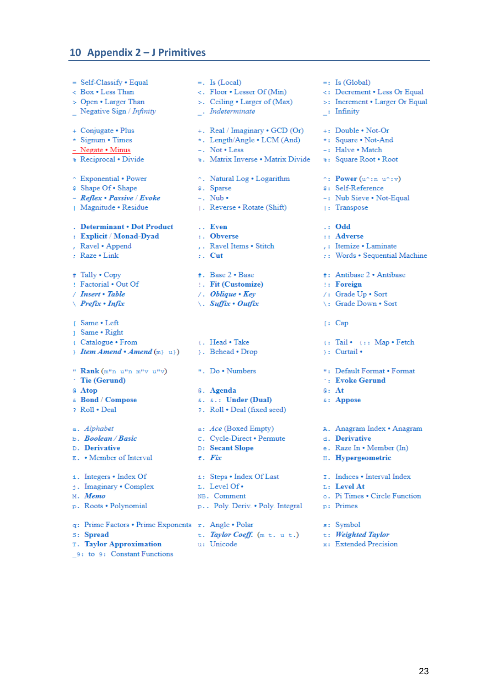# <span id="page-22-0"></span>**10 Appendix 2 – J Primitives**

 $=$  Self-Classify  $\cdot$  Equal < Box . Less Than > Open • Larger Than Negative Sign / Infinity + Conjugate • Plus \* Signum . Times - Negate • Minus **& Reciprocal • Divide** ↑ Exponential • Power \$ Shape Of . Shape  $~\sim$  Reflex • Passive / Evoke | Magnitude · Residue . Determinant . Dot Product : Explicit / Monad-Dyad , Ravel . Append : Raze . Link # Tally . Copy ! Factorial . Out Of / Insert · Table  $\angle$  Prefix • Infix [ Same • Left 1 Same · Right { Catalogue • From Hem Amend • Amend  $(m)$  u}) " Rank (m"n u"n m"v u"v)  $\cdot$  Tie (Gerund) @ Atop  $\epsilon$  Bond / Compose ? Roll . Deal a. Alphabet  $b. Boolean/Basic$ D. Derivative E. • Member of Interval i. Integers . Index Of j. Imaginary . Complex M. Memo p. Roots · Polynomial q: Prime Factors . Prime Exponents r. Angle . Polar s: Spread

T. Taylor Approximation

9: to 9: Constant Functions

- $=$ . Is (Local)
- $\lt$ . Floor Lesser Of (Min)
- >. Ceiling Larger of (Max)
- . Indeterminate
- +. Real / Imaginary  $\cdot$  GCD (Or)
- \*. Length/Angle LCM (And)
- $-$ . Not  $\bullet$  Less
- **8.** Matrix Inverse . Matrix Divide
- ↑. Natural Log Logarithm
- \$. Sparse
- $\sim$ . Nub •
- | Reverse Rotate (Shift)
- .. Even
- : Obverse
- , . Ravel Items . Stitch
- $\therefore$  Cut
- $\overline{\phantom{a}}$ . Base 2 · Base
- : Fit (Customize)
- $\sqrt{1 + 2}$  Oblique  $\cdot$  Kev
- $\setminus$ . Suffix Outfix
- { . Head . Take }. Behead . Drop
- ". Do . Numbers
- @. Agenda 6. 6.: Under (Dual) ?. Roll . Deal (fixed seed)
- a: Ace (Boxed Empty)
- c. Cycle-Direct Permute
- D: Secant Slope
- $f.$  Fix
- i: Steps . Index Of Last L. Level Of . NB. Comment p.. Poly. Deriv. . Poly. Integral
- 
- 
- t. Taylor Coeff. (m t. u t.)
- u: Unicode
- $=$ : Is (Global)
- <: Decrement . Less Or Equal
- >: Increment Larger Or Equal
- : Infinity
- +: Double . Not-Or
- \*: Square . Not-And
- -: Halve . Match
- **\*:** Square Root . Root
- $\hat{ }$ : Power (u^:n u^:v)
- \$: Self-Reference
- ~: Nub Sieve . Not-Equal
- : Transpose
- $\cdots$  Odd
- :: Adverse
- .: Itemize . Laminate
- :: Words . Sequential Machine
- #: Antibase 2 . Antibase
- : Foreign
- /: Grade Up . Sort
- \: Grade Down . Sort
- $[$ : Cap
- {: Tail {:: Map Fetch
- $\}$ : Curtail •
- ": Default Format . Format
- **:** Evoke Gerund
- $e:$  At
- &: Appose
- A. Anagram Index · Anagram
- d. Derivative
- e. Raze In . Member (In)
- H. Hypergeometric
- I. Indices . Interval Index
- L: Level At
- o. Pi Times . Circle Function
- p: Primes
- s: Symbol
- t: Weighted Taylor
- x: Extended Precision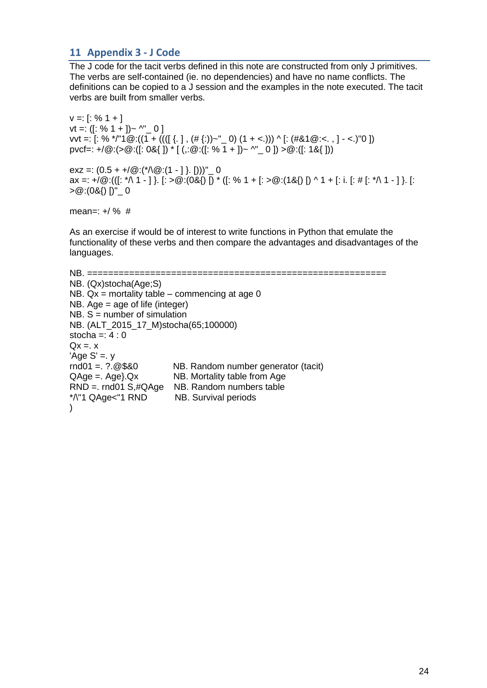# <span id="page-23-0"></span>**11 Appendix 3 - J Code**

The J code for the tacit verbs defined in this note are constructed from only J primitives. The verbs are self-contained (ie. no dependencies) and have no name conflicts. The definitions can be copied to a J session and the examples in the note executed. The tacit verbs are built from smaller verbs.

 $v =: [$ : % 1 + ]  $vt =: ([: % 1 + ]) \sim$  ^" \_ 0 ] vvt =:  $[: % * \mid "1@:(1 + ((([] \{ . \} , (\# \{ :)) \sim "_0) (1 + < .))) \wedge [:(\# 81@ : < . ,] - < .) "0 ])$ pvcf=: +/ $\omega$ :(> $\omega$ :([: 0&{ ]) \* [ (,: $\omega$ :([: % 1 + ])~ ^"\_ 0 ]) > $\omega$ :([: 1&{ ]))

exz =:  $(0.5 + \frac{1}{0} \cdot (\sqrt[*]{0} \cdot (1 - 1) \cdot ()))'' = 0$ ax =: +/@:(([: \*\ 1 - ] }. [: >@:(0&{) [) \* ([: % 1 + [: >@:(1&{) [) ^ 1 + [: i. [: # [: \*\ 1 - ] }. [:  $>$   $\circ$  :(0&{) [)"  $=$  0

mean=:  $+/$  % #

As an exercise if would be of interest to write functions in Python that emulate the functionality of these verbs and then compare the advantages and disadvantages of the languages.

```
NB. =========================================================
NB. (Qx)stocha(Age;S)
NB. Qx = mortality table – commencing at age 0
NB. Age = age of life (integer)
NB. S = number of simulationNB. (ALT_2015_17_M)stocha(65;100000)
stocha =: 4:0Qx = x'Age S' = yrnd01 =. ?.@$&0 NB. Random number generator (tacit)
QAqe = . Aqe. Qx NB. Mortality table from Age
RND =. rnd01 S,#QAge NB. Random numbers table
*/\"1 QAge<"1 RND NB. Survival periods
\lambda
```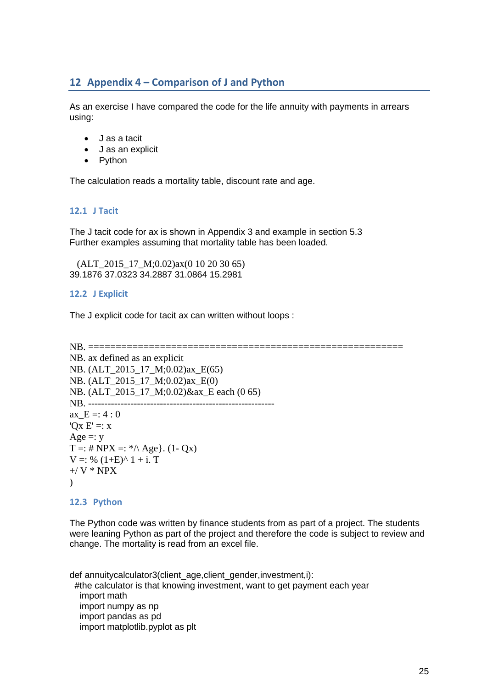# <span id="page-24-0"></span>**12 Appendix 4 – Comparison of J and Python**

As an exercise I have compared the code for the life annuity with payments in arrears using:

- J as a tacit
- J as an explicit
- Python

The calculation reads a mortality table, discount rate and age.

# <span id="page-24-1"></span>**12.1 J Tacit**

The J tacit code for ax is shown in Appendix 3 and example in section 5.3 Further examples assuming that mortality table has been loaded.

 (ALT\_2015\_17\_M;0.02)ax(0 10 20 30 65) 39.1876 37.0323 34.2887 31.0864 15.2981

#### <span id="page-24-2"></span>**12.2 J Explicit**

The J explicit code for tacit ax can written without loops :

```
NB. =========================================================
NB. ax defined as an explicit
NB. (ALT 2015 17 M;0.02)ax E(65)
NB. (ALT_2015_17_M;0.02)ax_E(0) 
NB. (ALT_2015_17_M;0.02)&ax_E each (0 65) 
NB. --------------
ax E = 4 : 0'Qx E' =: xAge =: yT =: # NPX =: * \wedge Age. (1- Qx)
V =: \% (1+E)^{2} 1 + i. T+/ V * NPX
\lambda
```
#### <span id="page-24-3"></span>**12.3 Python**

The Python code was written by finance students from as part of a project. The students were leaning Python as part of the project and therefore the code is subject to review and change. The mortality is read from an excel file.

def annuitycalculator3(client\_age,client\_gender,investment,i): #the calculator is that knowing investment, want to get payment each year import math import numpy as np import pandas as pd import matplotlib.pyplot as plt